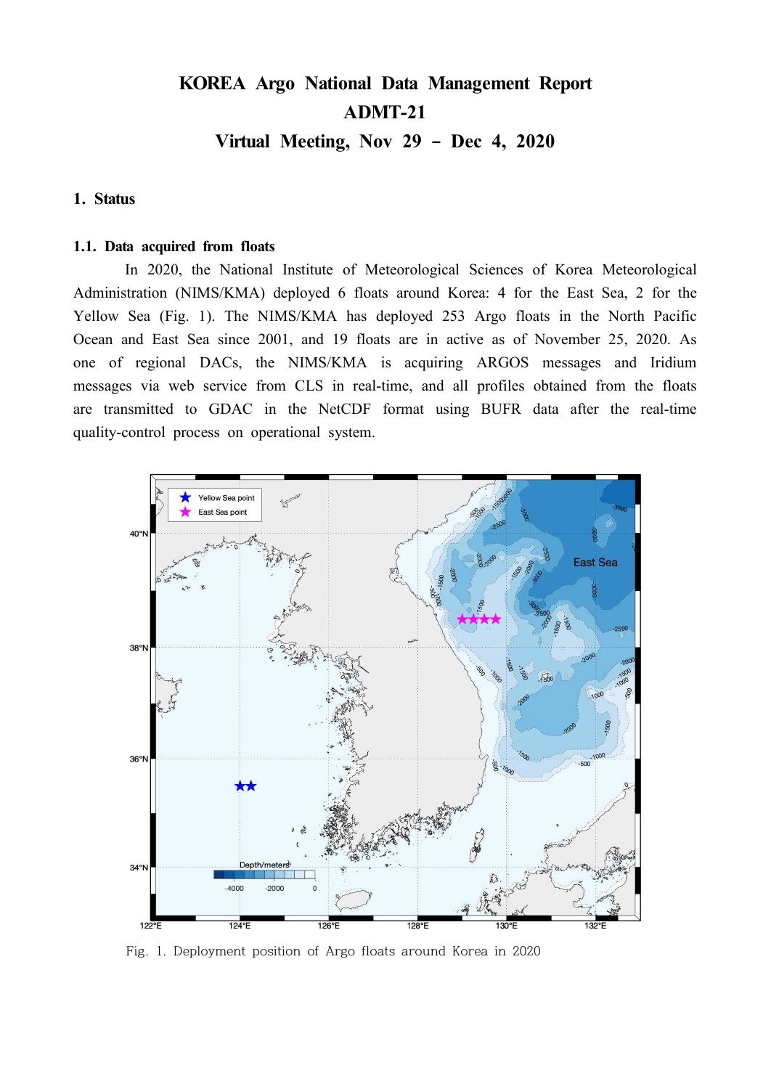# **KOREA Argo National Data Management Report ADMT-21**

**Virtual Meeting, Nov 29 – Dec 4, 2020**

# **1. Status**

#### **1.1. Data acquired from floats**

In 2020, the National Institute of Meteorological Sciences of Korea Meteorological Administration (NIMS/KMA) deployed 6 floats around Korea: 4 for the East Sea, 2 for the Yellow Sea (Fig. 1). The NIMS/KMA has deployed 253 Argo floats in the North Pacific Ocean and East Sea since 2001, and 19 floats are in active as of November 25, 2020. As one of regional DACs, the NIMS/KMA is acquiring ARGOS messages and Iridium messages via web service from CLS in real-time, and all profiles obtained from the floats are transmitted to GDAC in the NetCDF format using BUFR data after the real-time quality-control process on operational system.



Fig. 1. Deployment position of Argo floats around Korea in 2020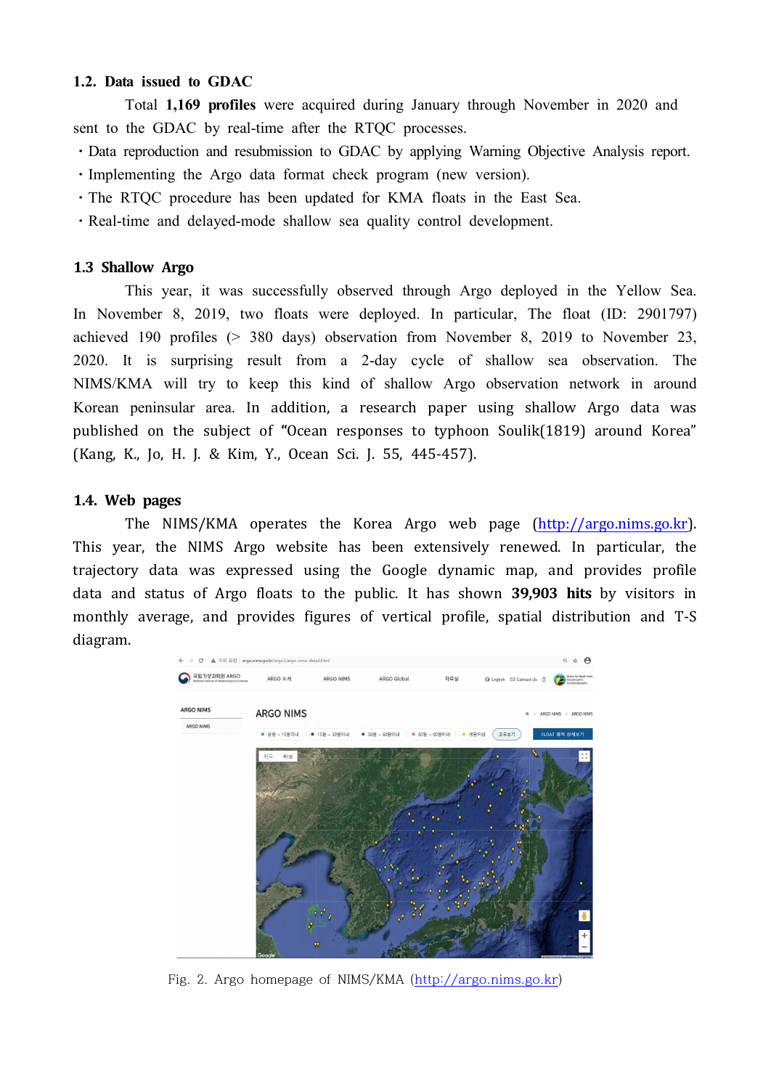### **1.2. Data issued to GDAC**

Total **1,169 profiles** were acquired during January through November in 2020 and sent to the GDAC by real-time after the RTQC processes.

- Data reproduction and resubmission to GDAC by applying Warning Objective Analysis report.
- ⋅Implementing the Argo data format check program (new version).
- ⋅The RTQC procedure has been updated for KMA floats in the East Sea.
- ⋅Real-time and delayed-mode shallow sea quality control development.

### **1.3 Shallow Argo**

This year, it was successfully observed through Argo deployed in the Yellow Sea. In November 8, 2019, two floats were deployed. In particular, The float (ID: 2901797) achieved 190 profiles (> 380 days) observation from November 8, 2019 to November 23, 2020. It is surprising result from a 2-day cycle of shallow sea observation. The NIMS/KMA will try to keep this kind of shallow Argo observation network in around Korean peninsular area. In addition, a research paper using shallow Argo data was published on the subject of **"**Ocean responses to typhoon Soulik(1819) around Korea" (Kang, K., Jo, H. J. & Kim, Y., Ocean Sci. J. 55, 445-457).

# **1.4. Web pages**

The NIMS/KMA operates the Korea Argo web page (http://argo.nims.go.kr). This year, the NIMS Argo website has been extensively renewed. In particular, the trajectory data was expressed using the Google dynamic map, and provides profile data and status of Argo floats to the public. It has shown **39,903 hits** by visitors in monthly average, and provides figures of vertical profile, spatial distribution and T-S diagram.



Fig. 2. Argo homepage of NIMS/KMA (http://argo.nims.go.kr)